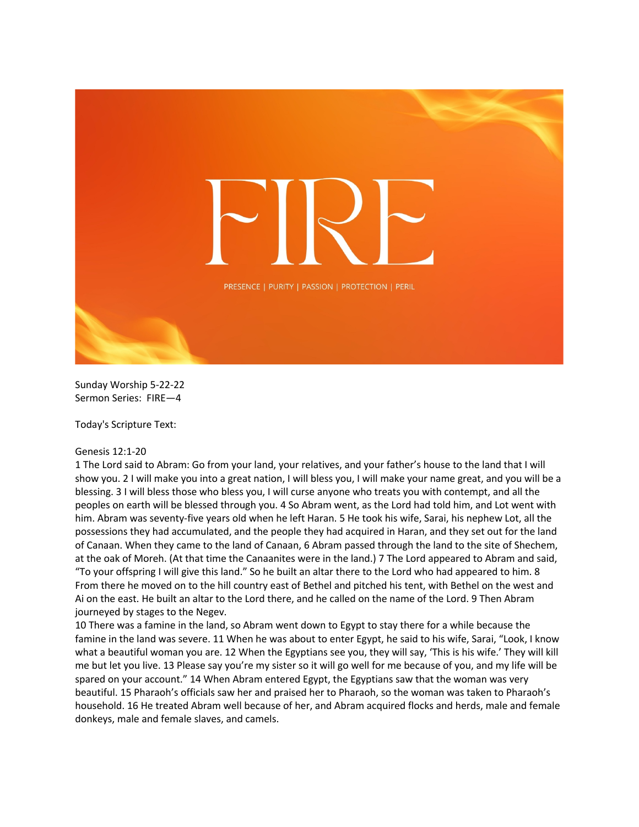

Sunday Worship 5-22-22 Sermon Series: FIRE—4

Today's Scripture Text:

## Genesis 12:1-20

1 The Lord said to Abram: Go from your land, your relatives, and your father's house to the land that I will show you. 2 I will make you into a great nation, I will bless you, I will make your name great, and you will be a blessing. 3 I will bless those who bless you, I will curse anyone who treats you with contempt, and all the peoples on earth will be blessed through you. 4 So Abram went, as the Lord had told him, and Lot went with him. Abram was seventy-five years old when he left Haran. 5 He took his wife, Sarai, his nephew Lot, all the possessions they had accumulated, and the people they had acquired in Haran, and they set out for the land of Canaan. When they came to the land of Canaan, 6 Abram passed through the land to the site of Shechem, at the oak of Moreh. (At that time the Canaanites were in the land.) 7 The Lord appeared to Abram and said, "To your offspring I will give this land." So he built an altar there to the Lord who had appeared to him. 8 From there he moved on to the hill country east of Bethel and pitched his tent, with Bethel on the west and Ai on the east. He built an altar to the Lord there, and he called on the name of the Lord. 9 Then Abram journeyed by stages to the Negev.

10 There was a famine in the land, so Abram went down to Egypt to stay there for a while because the famine in the land was severe. 11 When he was about to enter Egypt, he said to his wife, Sarai, "Look, I know what a beautiful woman you are. 12 When the Egyptians see you, they will say, 'This is his wife.' They will kill me but let you live. 13 Please say you're my sister so it will go well for me because of you, and my life will be spared on your account." 14 When Abram entered Egypt, the Egyptians saw that the woman was very beautiful. 15 Pharaoh's officials saw her and praised her to Pharaoh, so the woman was taken to Pharaoh's household. 16 He treated Abram well because of her, and Abram acquired flocks and herds, male and female donkeys, male and female slaves, and camels.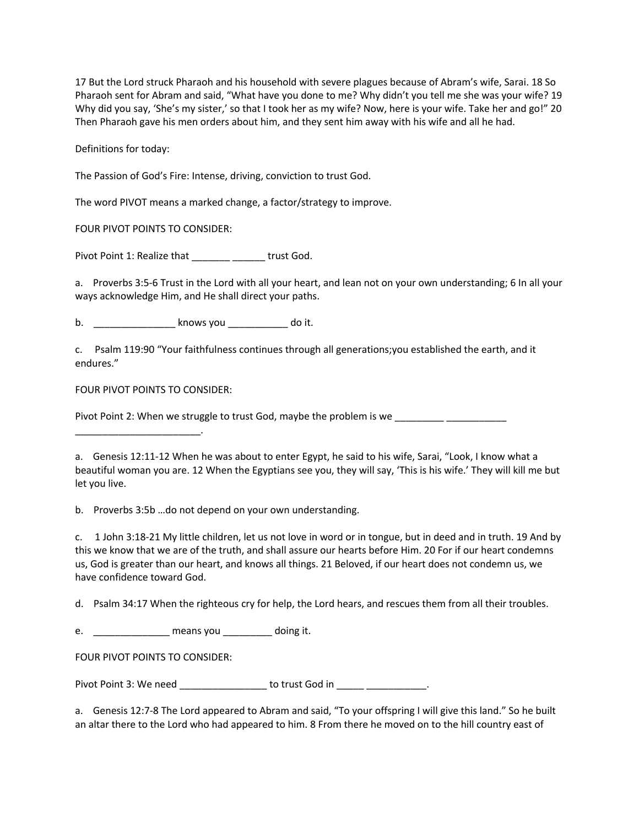17 But the Lord struck Pharaoh and his household with severe plagues because of Abram's wife, Sarai. 18 So Pharaoh sent for Abram and said, "What have you done to me? Why didn't you tell me she was your wife? 19 Why did you say, 'She's my sister,' so that I took her as my wife? Now, here is your wife. Take her and go!" 20 Then Pharaoh gave his men orders about him, and they sent him away with his wife and all he had.

Definitions for today:

The Passion of God's Fire: Intense, driving, conviction to trust God.

The word PIVOT means a marked change, a factor/strategy to improve.

FOUR PIVOT POINTS TO CONSIDER:

Pivot Point 1: Realize that \_\_\_\_\_\_\_\_\_\_\_\_\_\_\_\_\_ trust God.

a. Proverbs 3:5-6 Trust in the Lord with all your heart, and lean not on your own understanding; 6 In all your ways acknowledge Him, and He shall direct your paths.

b. \_\_\_\_\_\_\_\_\_\_\_\_\_\_\_ knows you \_\_\_\_\_\_\_\_\_\_\_ do it.

c. Psalm 119:90 "Your faithfulness continues through all generations;you established the earth, and it endures."

FOUR PIVOT POINTS TO CONSIDER:

\_\_\_\_\_\_\_\_\_\_\_\_\_\_\_\_\_\_\_\_\_\_\_.

Pivot Point 2: When we struggle to trust God, maybe the problem is we

a. Genesis 12:11-12 When he was about to enter Egypt, he said to his wife, Sarai, "Look, I know what a beautiful woman you are. 12 When the Egyptians see you, they will say, 'This is his wife.' They will kill me but let you live.

b. Proverbs 3:5b …do not depend on your own understanding.

c. 1 John 3:18-21 My little children, let us not love in word or in tongue, but in deed and in truth. 19 And by this we know that we are of the truth, and shall assure our hearts before Him. 20 For if our heart condemns us, God is greater than our heart, and knows all things. 21 Beloved, if our heart does not condemn us, we have confidence toward God.

d. Psalm 34:17 When the righteous cry for help, the Lord hears, and rescues them from all their troubles.

e. \_\_\_\_\_\_\_\_\_\_\_\_\_\_\_\_\_ means you \_\_\_\_\_\_\_\_\_\_ doing it.

FOUR PIVOT POINTS TO CONSIDER:

Pivot Point 3: We need \_\_\_\_\_\_\_\_\_\_\_\_\_\_\_\_\_\_ to trust God in \_\_\_\_\_\_\_\_\_\_\_\_\_\_\_\_.

a. Genesis 12:7-8 The Lord appeared to Abram and said, "To your offspring I will give this land." So he built an altar there to the Lord who had appeared to him. 8 From there he moved on to the hill country east of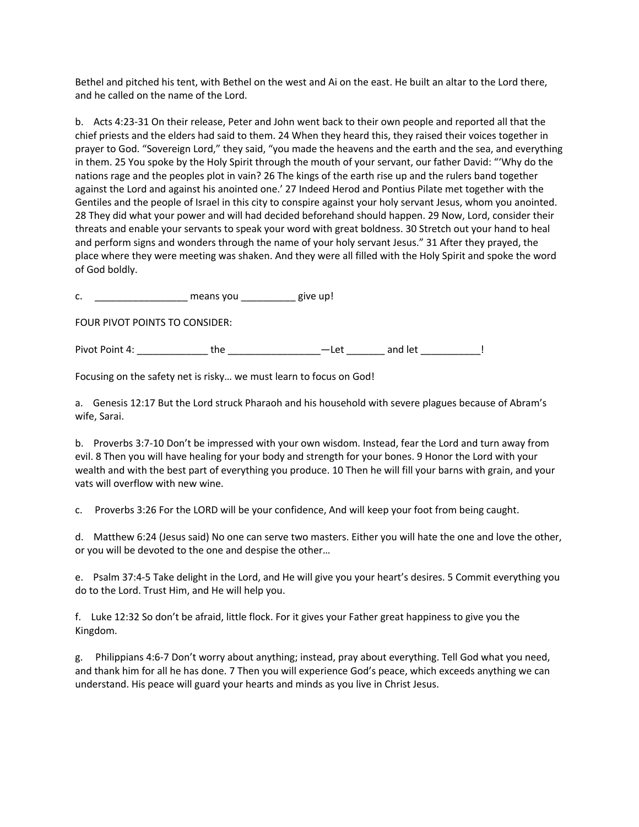Bethel and pitched his tent, with Bethel on the west and Ai on the east. He built an altar to the Lord there, and he called on the name of the Lord.

b. Acts 4:23-31 On their release, Peter and John went back to their own people and reported all that the chief priests and the elders had said to them. 24 When they heard this, they raised their voices together in prayer to God. "Sovereign Lord," they said, "you made the heavens and the earth and the sea, and everything in them. 25 You spoke by the Holy Spirit through the mouth of your servant, our father David: "'Why do the nations rage and the peoples plot in vain? 26 The kings of the earth rise up and the rulers band together against the Lord and against his anointed one.' 27 Indeed Herod and Pontius Pilate met together with the Gentiles and the people of Israel in this city to conspire against your holy servant Jesus, whom you anointed. 28 They did what your power and will had decided beforehand should happen. 29 Now, Lord, consider their threats and enable your servants to speak your word with great boldness. 30 Stretch out your hand to heal and perform signs and wonders through the name of your holy servant Jesus." 31 After they prayed, the place where they were meeting was shaken. And they were all filled with the Holy Spirit and spoke the word of God boldly.

c. The means you all give up!

FOUR PIVOT POINTS TO CONSIDER:

Pivot Point 4: \_\_\_\_\_\_\_\_\_\_\_\_\_ the \_\_\_\_\_\_\_\_\_\_\_\_\_\_\_\_\_—Let \_\_\_\_\_\_\_ and let \_\_\_\_\_\_\_\_\_\_\_!

Focusing on the safety net is risky… we must learn to focus on God!

a. Genesis 12:17 But the Lord struck Pharaoh and his household with severe plagues because of Abram's wife, Sarai.

b. Proverbs 3:7-10 Don't be impressed with your own wisdom. Instead, fear the Lord and turn away from evil. 8 Then you will have healing for your body and strength for your bones. 9 Honor the Lord with your wealth and with the best part of everything you produce. 10 Then he will fill your barns with grain, and your vats will overflow with new wine.

c. Proverbs 3:26 For the LORD will be your confidence, And will keep your foot from being caught.

d. Matthew 6:24 (Jesus said) No one can serve two masters. Either you will hate the one and love the other, or you will be devoted to the one and despise the other…

e. Psalm 37:4-5 Take delight in the Lord, and He will give you your heart's desires. 5 Commit everything you do to the Lord. Trust Him, and He will help you.

f. Luke 12:32 So don't be afraid, little flock. For it gives your Father great happiness to give you the Kingdom.

g. Philippians 4:6-7 Don't worry about anything; instead, pray about everything. Tell God what you need, and thank him for all he has done. 7 Then you will experience God's peace, which exceeds anything we can understand. His peace will guard your hearts and minds as you live in Christ Jesus.